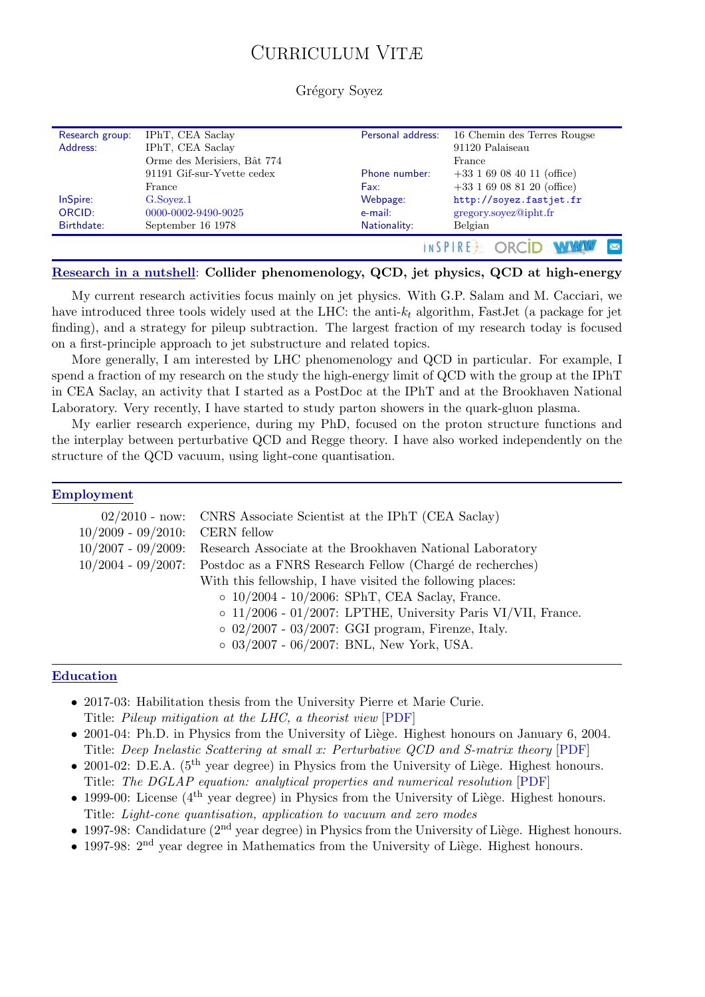# CURRICULUM VITÆ

#### Grégory Soyez

| Research group: | IPhT, CEA Saclay            | Personal address: | 16 Chemin des Terres Rougse  |  |
|-----------------|-----------------------------|-------------------|------------------------------|--|
| Address:        | IPhT, CEA Saclay            |                   | 91120 Palaiseau              |  |
|                 | Orme des Merisiers, Bât 774 |                   | France                       |  |
|                 | 91191 Gif-sur-Yvette cedex  | Phone number:     | $+33$ 1 69 08 40 11 (office) |  |
|                 | France                      | Fax:              | $+33$ 1 69 08 81 20 (office) |  |
| InSpire:        | G.Sovez.1                   | Webpage:          | http://soyez.fastjet.fr      |  |
| ORCID:          | 0000-0002-9490-9025         | e-mail:           | gregory.soyez@ipht.fr        |  |
| Birthdate:      | September 16 1978           | Nationality:      | Belgian                      |  |
|                 |                             |                   | $\overline{\mathbf{M}}$      |  |

#### Research in a nutshell: Collider phenomenology, QCD, jet physics, QCD at high-energy

My current research activities focus mainly on jet physics. With G.P. Salam and M. Cacciari, we have introduced three tools widely used at the LHC: the anti- $k_t$  algorithm, FastJet (a package for jet finding), and a strategy for pileup subtraction. The largest fraction of my research today is focused on a first-principle approach to jet substructure and related topics.

More generally, I am interested by LHC phenomenology and QCD in particular. For example, I spend a fraction of my research on the study the high-energy limit of QCD with the group at the IPhT in CEA Saclay, an activity that I started as a PostDoc at the IPhT and at the Brookhaven National Laboratory. Very recently, I have started to study parton showers in the quark-gluon plasma.

My earlier research experience, during my PhD, focused on the proton structure functions and the interplay between perturbative QCD and Regge theory. I have also worked independently on the structure of the QCD vacuum, using light-cone quantisation.

#### Employment

|                       | 02/2010 - now: CNRS Associate Scientist at the IPhT (CEA Saclay)   |  |  |
|-----------------------|--------------------------------------------------------------------|--|--|
| $10/2009 - 09/2010$ : | <b>CERN</b> fellow                                                 |  |  |
| $10/2007 - 09/2009$ : | Research Associate at the Brookhaven National Laboratory           |  |  |
| $10/2004 - 09/2007$ : | Postdoc as a FNRS Research Fellow (Chargé de recherches)           |  |  |
|                       | With this fellowship, I have visited the following places:         |  |  |
|                       | $\circ$ 10/2004 - 10/2006: SPhT, CEA Saclay, France.               |  |  |
|                       | $\circ$ 11/2006 - 01/2007: LPTHE, University Paris VI/VII, France. |  |  |
|                       | $\circ$ 02/2007 - 03/2007: GGI program, Firenze, Italy.            |  |  |
|                       | $\circ$ 03/2007 - 06/2007: BNL, New York, USA.                     |  |  |
|                       |                                                                    |  |  |

#### Education

- 2017-03: Habilitation thesis from the University Pierre et Marie Curie. Title: Pileup mitigation at the LHC, a theorist view [\[PDF\]](http://www.lpthe.jussieu.fr/~soyez/data/gsoyez_HDR_pileup.pdf)
- 2001-04: Ph.D. in Physics from the University of Liège. Highest honours on January 6, 2004. Title: Deep Inelastic Scattering at small x: Perturbative QCD and S-matrix theory [\[PDF\]](http://www.lpthe.jussieu.fr/~soyez/data/gsoyez_PhD.pdf)
- 2001-02: D.E.A.  $(5^{th}$  year degree) in Physics from the University of Liège. Highest honours. Title: The DGLAP equation: analytical properties and numerical resolution [\[PDF\]](http://www.lpthe.jussieu.fr/~soyez/data/gsoyez_master.pdf)
- 1999-00: License ( $4<sup>th</sup>$  year degree) in Physics from the University of Liège. Highest honours. Title: Light-cone quantisation, application to vacuum and zero modes
- 1997-98: Candidature  $(2^{nd}$  year degree) in Physics from the University of Liège. Highest honours.
- 1997-98:  $2<sup>nd</sup>$  year degree in Mathematics from the University of Liège. Highest honours.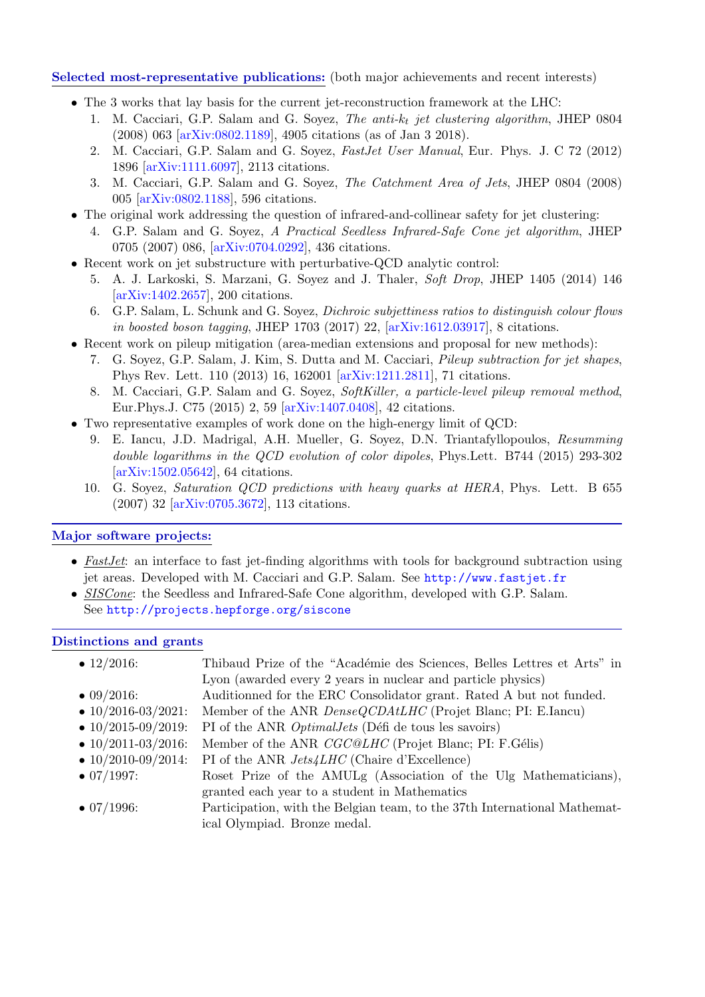## Selected most-representative publications: (both major achievements and recent interests)

- The 3 works that lay basis for the current jet-reconstruction framework at the LHC:
	- 1. M. Cacciari, G.P. Salam and G. Soyez, The anti- $k_t$  jet clustering algorithm, JHEP 0804 (2008) 063 [\[arXiv:0802.1189\]](http://arxiv.org/abs/arXiv:0802.1189), 4905 citations (as of Jan 3 2018).
	- 2. M. Cacciari, G.P. Salam and G. Soyez, FastJet User Manual, Eur. Phys. J. C 72 (2012) 1896 [\[arXiv:1111.6097\]](http://arxiv.org/abs/arXiv:1111.6097), 2113 citations.
	- 3. M. Cacciari, G.P. Salam and G. Soyez, The Catchment Area of Jets, JHEP 0804 (2008) 005 [\[arXiv:0802.1188\]](http://arxiv.org/abs/arXiv:0802.1188), 596 citations.
- The original work addressing the question of infrared-and-collinear safety for jet clustering:
	- 4. G.P. Salam and G. Soyez, A Practical Seedless Infrared-Safe Cone jet algorithm, JHEP 0705 (2007) 086, [\[arXiv:0704.0292\]](http://arxiv.org/abs/arXiv:0704.0292), 436 citations.
- Recent work on jet substructure with perturbative-QCD analytic control:
	- 5. A. J. Larkoski, S. Marzani, G. Soyez and J. Thaler, Soft Drop, JHEP 1405 (2014) 146 [\[arXiv:1402.2657\]](http://arxiv.org/abs/arXiv:1402.2657), 200 citations.
	- 6. G.P. Salam, L. Schunk and G. Soyez, Dichroic subjettiness ratios to distinguish colour flows in boosted boson tagging, JHEP 1703 (2017) 22, [\[arXiv:1612.03917\]](http://arxiv.org/abs/arXiv:1612.03917), 8 citations.
- Recent work on pileup mitigation (area-median extensions and proposal for new methods):
	- 7. G. Soyez, G.P. Salam, J. Kim, S. Dutta and M. Cacciari, Pileup subtraction for jet shapes, Phys Rev. Lett. 110 (2013) 16, 162001 [\[arXiv:1211.2811\]](http://arxiv.org/abs/arXiv:1211.2811), 71 citations.
	- 8. M. Cacciari, G.P. Salam and G. Soyez, SoftKiller, a particle-level pileup removal method, Eur.Phys.J. C75 (2015) 2, 59 [\[arXiv:1407.0408\]](http://arxiv.org/abs/arXiv:1407.0408), 42 citations.
- Two representative examples of work done on the high-energy limit of QCD:
	- 9. E. Iancu, J.D. Madrigal, A.H. Mueller, G. Soyez, D.N. Triantafyllopoulos, Resumming double logarithms in the QCD evolution of color dipoles, Phys.Lett. B744 (2015) 293-302 [\[arXiv:1502.05642\]](http://arxiv.org/abs/1502.05642), 64 citations.
	- 10. G. Soyez, Saturation QCD predictions with heavy quarks at HERA, Phys. Lett. B 655 (2007) 32 [\[arXiv:0705.3672\]](http://arxiv.org/abs/0705.3672), 113 citations.

# Major software projects:

- FastJet: an interface to fast jet-finding algorithms with tools for background subtraction using jet areas. Developed with M. Cacciari and G.P. Salam. See <http://www.fastjet.fr>
- SISCone: the Seedless and Infrared-Safe Cone algorithm, developed with G.P. Salam. See <http://projects.hepforge.org/siscone>

## Distinctions and grants

| $\bullet$ 12/2016:         | Thibaud Prize of the "Académie des Sciences, Belles Lettres et Arts" in   |
|----------------------------|---------------------------------------------------------------------------|
|                            | Lyon (awarded every 2 years in nuclear and particle physics)              |
| $\bullet$ 09/2016:         | Auditionned for the ERC Consolidator grant. Rated A but not funded.       |
| $\bullet$ 10/2016-03/2021: | Member of the ANR <i>DenseQCDAtLHC</i> (Projet Blanc; PI: E.Iancu)        |
| $\bullet$ 10/2015-09/2019: | PI of the ANR <i>Optimal Jets</i> (Défi de tous les savoirs)              |
| $\bullet$ 10/2011-03/2016: | Member of the ANR <i>CGC@LHC</i> (Projet Blanc; PI: F.Gélis)              |
| $\bullet$ 10/2010-09/2014: | PI of the ANR <i>Jets4LHC</i> (Chaire d'Excellence)                       |
| $\bullet$ 07/1997:         | Roset Prize of the AMULg (Association of the Ulg Mathematicians),         |
|                            | granted each year to a student in Mathematics                             |
| $\bullet$ 07/1996:         | Participation, with the Belgian team, to the 37th International Mathemat- |
|                            | ical Olympiad. Bronze medal.                                              |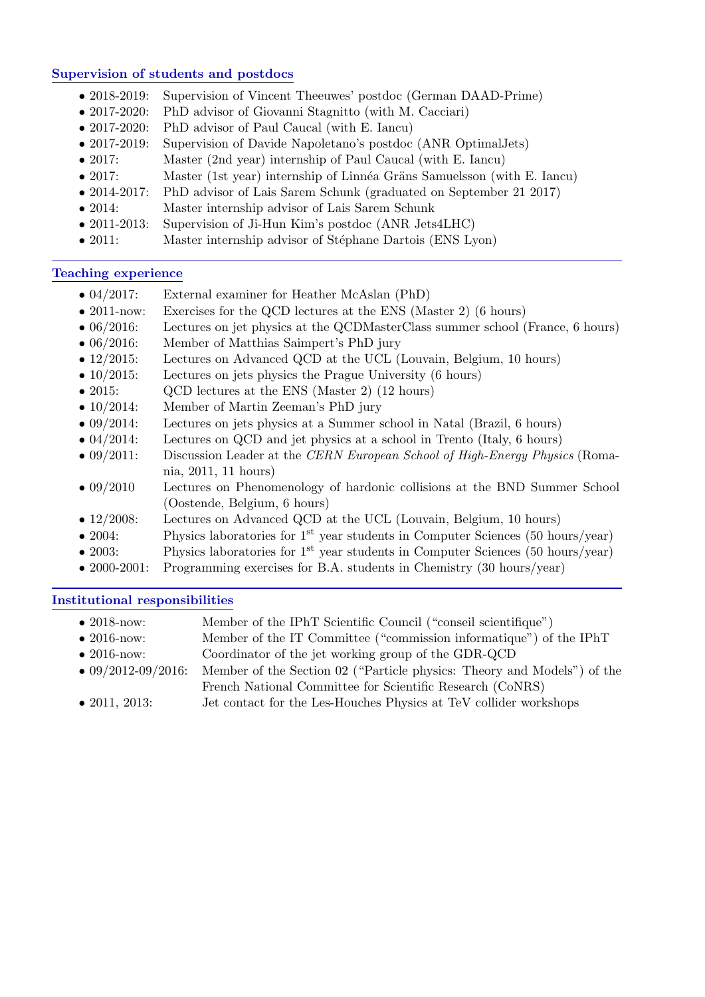## Supervision of students and postdocs

- 2018-2019: Supervision of Vincent Theeuwes' postdoc (German DAAD-Prime)
- 2017-2020: PhD advisor of Giovanni Stagnitto (with M. Cacciari)
- 2017-2020: PhD advisor of Paul Caucal (with E. Iancu)
- 2017-2019: Supervision of Davide Napoletano's postdoc (ANR OptimalJets)
- 2017: Master (2nd year) internship of Paul Caucal (with E. Iancu)
- 2017: Master (1st year) internship of Linnéa Gräns Samuelsson (with E. Iancu)
- 2014-2017: PhD advisor of Lais Sarem Schunk (graduated on September 21 2017)
- 2014: Master internship advisor of Lais Sarem Schunk
- 2011-2013: Supervision of Ji-Hun Kim's postdoc (ANR Jets4LHC)
- 2011: Master internship advisor of Stéphane Dartois (ENS Lyon)

## Teaching experience

- 04/2017: External examiner for Heather McAslan (PhD)
- 2011-now: Exercises for the QCD lectures at the ENS (Master 2) (6 hours)
- 06/2016: Lectures on jet physics at the QCDMasterClass summer school (France, 6 hours)
- 06/2016: Member of Matthias Saimpert's PhD jury
- 12/2015: Lectures on Advanced QCD at the UCL (Louvain, Belgium, 10 hours)
- 10/2015: Lectures on jets physics the Prague University (6 hours)
- 2015: QCD lectures at the ENS (Master 2) (12 hours)
- 10/2014: Member of Martin Zeeman's PhD jury
- 09/2014: Lectures on jets physics at a Summer school in Natal (Brazil, 6 hours)
- 04/2014: Lectures on QCD and jet physics at a school in Trento (Italy, 6 hours)
- 09/2011: Discussion Leader at the CERN European School of High-Energy Physics (Romania, 2011, 11 hours)
- 09/2010 Lectures on Phenomenology of hardonic collisions at the BND Summer School (Oostende, Belgium, 6 hours)
- 12/2008: Lectures on Advanced QCD at the UCL (Louvain, Belgium, 10 hours)
- 2004: Physics laboratories for 1<sup>st</sup> year students in Computer Sciences (50 hours/year)
- 2003: Physics laboratories for  $1<sup>st</sup>$  year students in Computer Sciences (50 hours/year)
- 2000-2001: Programming exercises for B.A. students in Chemistry (30 hours/year)

# Institutional responsibilities

| $\bullet$ 2018-now:        | Member of the IPhT Scientific Council ("conseil scientifique")          |
|----------------------------|-------------------------------------------------------------------------|
| $\bullet$ 2016-now:        | Member of the IT Committee ("commission informatique") of the IPhT      |
| $\bullet$ 2016-now:        | Coordinator of the jet working group of the GDR-QCD                     |
| $\bullet$ 09/2012-09/2016: | Member of the Section 02 ("Particle physics: Theory and Models") of the |
|                            | French National Committee for Scientific Research (CoNRS)               |

• 2011, 2013: Jet contact for the Les-Houches Physics at TeV collider workshops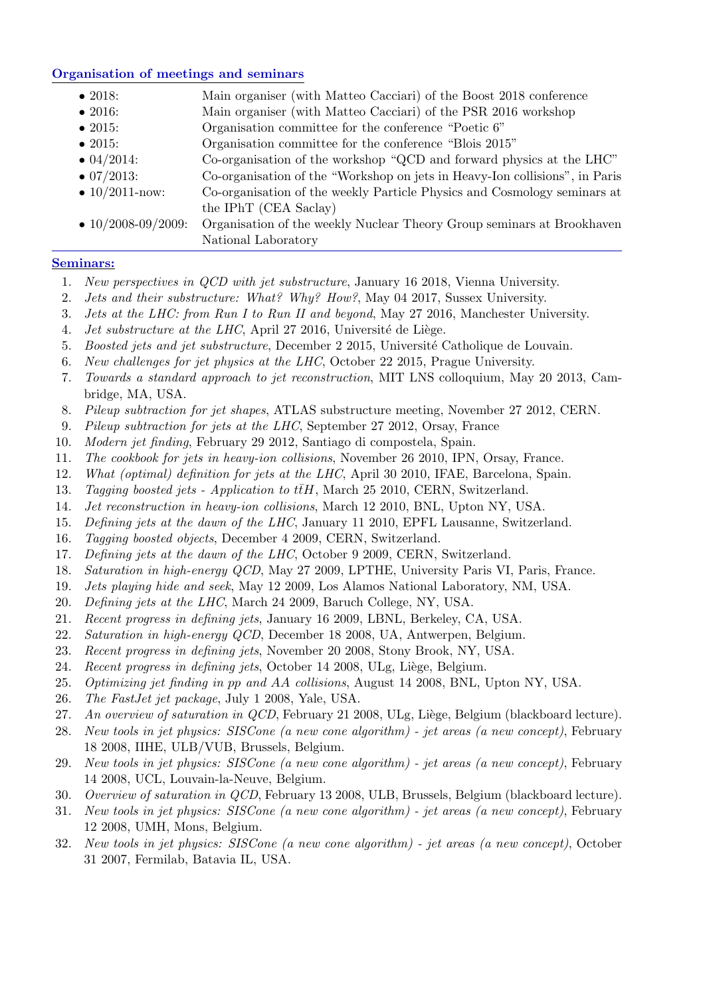## Organisation of meetings and seminars

- 2018: Main organiser (with Matteo Cacciari) of the Boost 2018 conference
- 2016: Main organiser (with Matteo Cacciari) of the PSR 2016 workshop
- 2015: Organisation committee for the conference "Poetic 6"
- 2015: Organisation committee for the conference "Blois 2015"
- 04/2014: Co-organisation of the workshop "QCD and forward physics at the LHC"
- 07/2013: Co-organisation of the "Workshop on jets in Heavy-Ion collisions", in Paris
- 10/2011-now: Co-organisation of the weekly Particle Physics and Cosmology seminars at the IPhT (CEA Saclay)
- 10/2008-09/2009: Organisation of the weekly Nuclear Theory Group seminars at Brookhaven National Laboratory

## Seminars:

- 1. New perspectives in QCD with jet substructure, January 16 2018, Vienna University.
- 2. Jets and their substructure: What? Why? How?, May 04 2017, Sussex University.
- 3. Jets at the LHC: from Run I to Run II and beyond, May 27 2016, Manchester University.
- 4. *Jet substructure at the LHC*, April 27 2016, Université de Liège.
- 5. Boosted jets and jet substructure, December 2 2015, Université Catholique de Louvain.
- 6. New challenges for jet physics at the LHC, October 22 2015, Prague University.
- 7. Towards a standard approach to jet reconstruction, MIT LNS colloquium, May 20 2013, Cambridge, MA, USA.
- 8. Pileup subtraction for jet shapes, ATLAS substructure meeting, November 27 2012, CERN.
- 9. Pileup subtraction for jets at the LHC, September 27 2012, Orsay, France
- 10. Modern jet finding, February 29 2012, Santiago di compostela, Spain.
- 11. The cookbook for jets in heavy-ion collisions, November 26 2010, IPN, Orsay, France.
- 12. What (optimal) definition for jets at the LHC, April 30 2010, IFAE, Barcelona, Spain.
- 13. Tagging boosted jets Application to  $t\bar{t}H$ , March 25 2010, CERN, Switzerland.
- 14. Jet reconstruction in heavy-ion collisions, March 12 2010, BNL, Upton NY, USA.
- 15. Defining jets at the dawn of the LHC, January 11 2010, EPFL Lausanne, Switzerland.
- 16. Tagging boosted objects, December 4 2009, CERN, Switzerland.
- 17. Defining jets at the dawn of the LHC, October 9 2009, CERN, Switzerland.
- 18. Saturation in high-energy QCD, May 27 2009, LPTHE, University Paris VI, Paris, France.
- 19. Jets playing hide and seek, May 12 2009, Los Alamos National Laboratory, NM, USA.
- 20. Defining jets at the LHC, March 24 2009, Baruch College, NY, USA.
- 21. Recent progress in defining jets, January 16 2009, LBNL, Berkeley, CA, USA.
- 22. Saturation in high-energy QCD, December 18 2008, UA, Antwerpen, Belgium.
- 23. Recent progress in defining jets, November 20 2008, Stony Brook, NY, USA.
- 24. Recent progress in defining jets, October 14 2008, ULg, Liège, Belgium.
- 25. Optimizing jet finding in pp and AA collisions, August 14 2008, BNL, Upton NY, USA.
- 26. The FastJet jet package, July 1 2008, Yale, USA.
- 27. An overview of saturation in  $QCD$ , February 21 2008, ULg, Liège, Belgium (blackboard lecture).
- 28. New tools in jet physics: SISCone (a new cone algorithm) jet areas (a new concept), February 18 2008, IIHE, ULB/VUB, Brussels, Belgium.
- 29. New tools in jet physics: SISCone (a new cone algorithm) jet areas (a new concept), February 14 2008, UCL, Louvain-la-Neuve, Belgium.
- 30. Overview of saturation in QCD, February 13 2008, ULB, Brussels, Belgium (blackboard lecture).
- 31. New tools in jet physics: SISCone (a new cone algorithm) jet areas (a new concept), February 12 2008, UMH, Mons, Belgium.
- 32. New tools in jet physics: SISCone (a new cone algorithm) jet areas (a new concept), October 31 2007, Fermilab, Batavia IL, USA.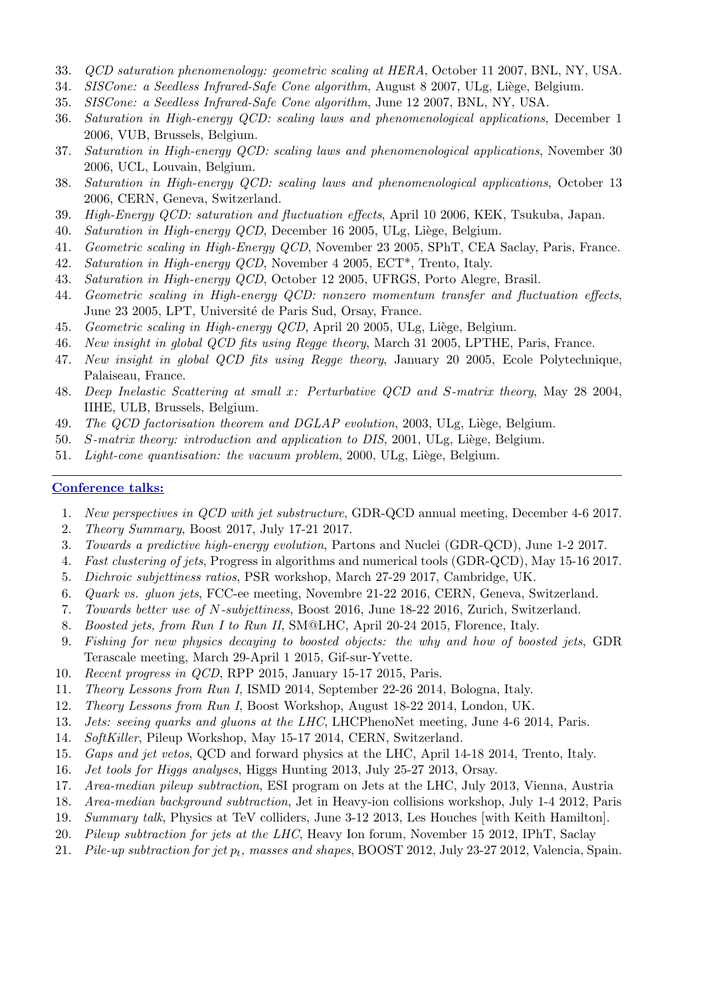- 33. QCD saturation phenomenology: geometric scaling at HERA, October 11 2007, BNL, NY, USA.
- 34. SISCone: a Seedless Infrared-Safe Cone algorithm, August 8 2007, ULg, Liège, Belgium.
- 35. SISCone: a Seedless Infrared-Safe Cone algorithm, June 12 2007, BNL, NY, USA.
- 36. Saturation in High-energy QCD: scaling laws and phenomenological applications, December 1 2006, VUB, Brussels, Belgium.
- 37. Saturation in High-energy QCD: scaling laws and phenomenological applications, November 30 2006, UCL, Louvain, Belgium.
- 38. Saturation in High-energy QCD: scaling laws and phenomenological applications, October 13 2006, CERN, Geneva, Switzerland.
- 39. High-Energy QCD: saturation and fluctuation effects, April 10 2006, KEK, Tsukuba, Japan.
- 40. Saturation in High-energy QCD, December 16 2005, ULg, Liège, Belgium.
- 41. Geometric scaling in High-Energy QCD, November 23 2005, SPhT, CEA Saclay, Paris, France.
- 42. Saturation in High-energy QCD, November 4 2005, ECT\*, Trento, Italy.
- 43. Saturation in High-energy QCD, October 12 2005, UFRGS, Porto Alegre, Brasil.
- 44. Geometric scaling in High-energy QCD: nonzero momentum transfer and fluctuation effects, June 23 2005, LPT, Université de Paris Sud, Orsay, France.
- 45. Geometric scaling in High-energy QCD, April 20 2005, ULg, Liège, Belgium.
- 46. New insight in global QCD fits using Regge theory, March 31 2005, LPTHE, Paris, France.
- 47. New insight in global QCD fits using Regge theory, January 20 2005, Ecole Polytechnique, Palaiseau, France.
- 48. Deep Inelastic Scattering at small x: Perturbative QCD and S-matrix theory, May 28 2004, IIHE, ULB, Brussels, Belgium.
- 49. The QCD factorisation theorem and DGLAP evolution, 2003, ULg, Liège, Belgium.
- 50. S-matrix theory: introduction and application to DIS, 2001, ULg, Liège, Belgium.
- 51. Light-cone quantisation: the vacuum problem, 2000, ULg, Liège, Belgium.

#### Conference talks:

- 1. New perspectives in QCD with jet substructure, GDR-QCD annual meeting, December 4-6 2017.
- 2. Theory Summary, Boost 2017, July 17-21 2017.
- 3. Towards a predictive high-energy evolution, Partons and Nuclei (GDR-QCD), June 1-2 2017.
- 4. Fast clustering of jets, Progress in algorithms and numerical tools (GDR-QCD), May 15-16 2017.
- 5. Dichroic subjettiness ratios, PSR workshop, March 27-29 2017, Cambridge, UK.
- 6. Quark vs. gluon jets, FCC-ee meeting, Novembre 21-22 2016, CERN, Geneva, Switzerland.
- 7. Towards better use of N-subjettiness, Boost 2016, June 18-22 2016, Zurich, Switzerland.
- 8. Boosted jets, from Run I to Run II, SM@LHC, April 20-24 2015, Florence, Italy.
- 9. Fishing for new physics decaying to boosted objects: the why and how of boosted jets, GDR Terascale meeting, March 29-April 1 2015, Gif-sur-Yvette.
- 10. Recent progress in QCD, RPP 2015, January 15-17 2015, Paris.
- 11. Theory Lessons from Run I, ISMD 2014, September 22-26 2014, Bologna, Italy.
- 12. Theory Lessons from Run I, Boost Workshop, August 18-22 2014, London, UK.
- 13. Jets: seeing quarks and gluons at the LHC, LHCPhenoNet meeting, June 4-6 2014, Paris.
- 14. SoftKiller, Pileup Workshop, May 15-17 2014, CERN, Switzerland.
- 15. Gaps and jet vetos, QCD and forward physics at the LHC, April 14-18 2014, Trento, Italy.
- 16. Jet tools for Higgs analyses, Higgs Hunting 2013, July 25-27 2013, Orsay.
- 17. Area-median pileup subtraction, ESI program on Jets at the LHC, July 2013, Vienna, Austria
- 18. Area-median background subtraction, Jet in Heavy-ion collisions workshop, July 1-4 2012, Paris
- 19. Summary talk, Physics at TeV colliders, June 3-12 2013, Les Houches [with Keith Hamilton].
- 20. Pileup subtraction for jets at the LHC, Heavy Ion forum, November 15 2012, IPhT, Saclay
- 21. Pile-up subtraction for jet  $p_t$ , masses and shapes, BOOST 2012, July 23-27 2012, Valencia, Spain.